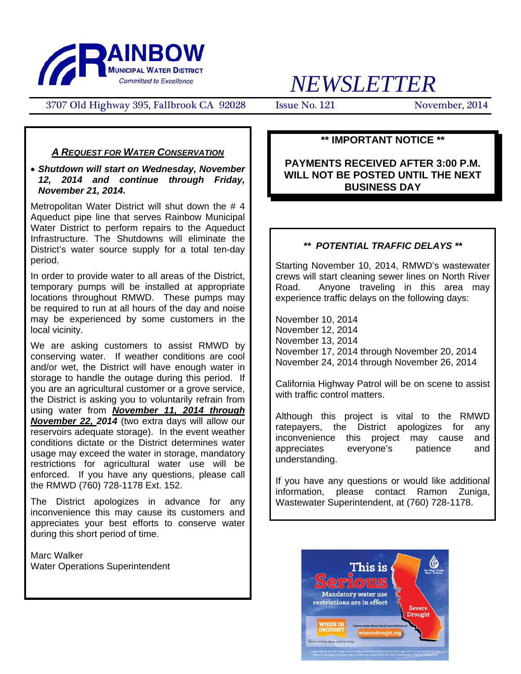

# *NEWSLETTER*

3707 Old Highway 395, Fallbrook CA 92028 Issue No. 121 November, 2014

### *A REQUEST FOR WATER CONSERVATION*

#### • *Shutdown will start on Wednesday, November 12, 2014 and continue through Friday, November 21, 2014.*

Metropolitan Water District will shut down the #4 Aqueduct pipe line that serves Rainbow Municipal Water District to perform repairs to the Aqueduct Infrastructure. The Shutdowns will eliminate the District's water source supply for a total ten-day period.

In order to provide water to all areas of the District, temporary pumps will be installed at appropriate locations throughout RMWD. These pumps may be required to run at all hours of the day and noise may be experienced by some customers in the local vicinity.

We are asking customers to assist RMWD by conserving water. If weather conditions are cool and/or wet, the District will have enough water in storage to handle the outage during this period. If you are an agricultural customer or a grove service, the District is asking you to voluntarily refrain from using water from *November 11, 2014 through November 22, 2014* (two extra days will allow our reservoirs adequate storage). In the event weather conditions dictate or the District determines water usage may exceed the water in storage, mandatory restrictions for agricultural water use will be enforced. If you have any questions, please call the RMWD (760) 728-1178 Ext. 152.

The District apologizes in advance for any inconvenience this may cause its customers and appreciates your best efforts to conserve water during this short period of time.

Marc Walker Water Operations Superintendent

## **\*\* IMPORTANT NOTICE \*\***

### **PAYMENTS RECEIVED AFTER 3:00 P.M. WILL NOT BE POSTED UNTIL THE NEXT BUSINESS DAY**

#### *\*\* POTENTIAL TRAFFIC DELAYS \*\**

Starting November 10, 2014, RMWD's wastewater crews will start cleaning sewer lines on North River Road. Anyone traveling in this area may experience traffic delays on the following days:

November 10, 2014 November 12, 2014 November 13, 2014 November 17, 2014 through November 20, 2014 November 24, 2014 through November 26, 2014

California Highway Patrol will be on scene to assist with traffic control matters.

Although this project is vital to the RMWD ratepayers, the District apologizes for any inconvenience this project may cause and appreciates everyone's patience and understanding.

If you have any questions or would like additional information, please contact Ramon Zuniga, Wastewater Superintendent, at (760) 728-1178.